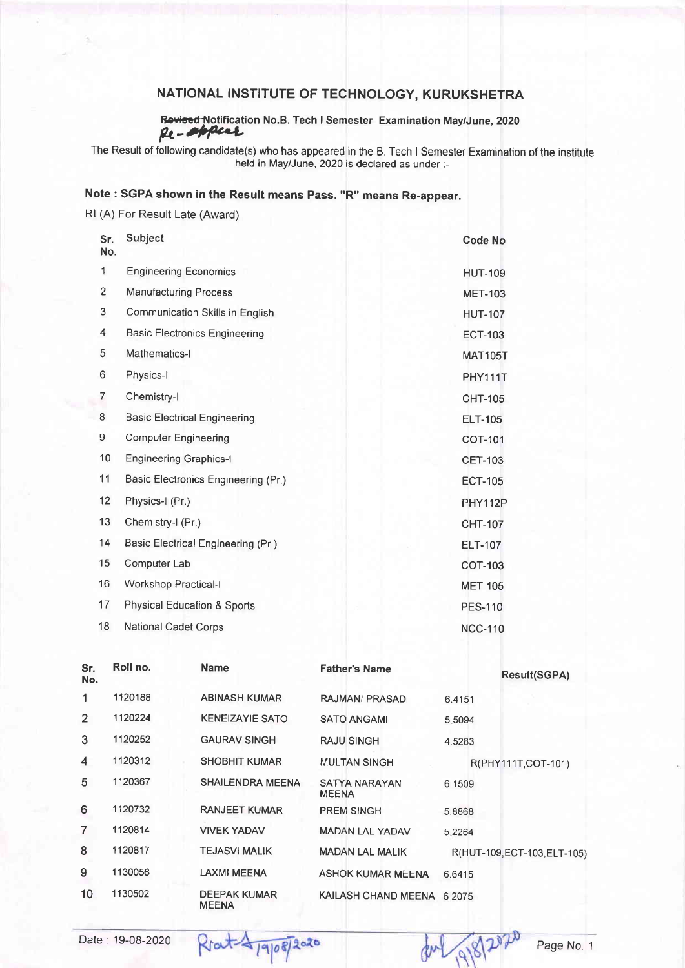### NATIONAL INSTITUTE OF TECHNOLOGY, KURUKSHETRA

Rovised Notification No. B. Tech I Semester Examination May/June, 2020

The Result of following candidate(s) who has appeared in the B. Tech I Semester Examination of the institute held in May/June, 2O2O is declared as under :-

# Note : SGPA shown in the Result means Pass. "R" means Re-appear.

RL(A) For Result Late (Award)

| Sr.<br>No.     | Subject                                | <b>Code No</b> |
|----------------|----------------------------------------|----------------|
| 1              | <b>Engineering Economics</b>           | <b>HUT-109</b> |
| $\overline{c}$ | <b>Manufacturing Process</b>           | <b>MET-103</b> |
| 3              | Communication Skills in English        | <b>HUT-107</b> |
| 4              | <b>Basic Electronics Engineering</b>   | <b>ECT-103</b> |
| 5              | Mathematics-I                          | <b>MAT105T</b> |
| 6              | Physics-I                              | PHY111T        |
| 7              | Chemistry-I                            | <b>CHT-105</b> |
| 8              | <b>Basic Electrical Engineering</b>    | <b>ELT-105</b> |
| 9              | <b>Computer Engineering</b>            | <b>COT-101</b> |
| 10             | <b>Engineering Graphics-I</b>          | <b>CET-103</b> |
| 11             | Basic Electronics Engineering (Pr.)    | <b>ECT-105</b> |
| 12             | Physics-I (Pr.)                        | PHY112P        |
| 13             | Chemistry-I (Pr.)                      | <b>CHT-107</b> |
| 14             | Basic Electrical Engineering (Pr.)     | <b>ELT-107</b> |
| 15             | Computer Lab                           | <b>COT-103</b> |
| 16             | <b>Workshop Practical-I</b>            | <b>MET-105</b> |
| 17             | <b>Physical Education &amp; Sports</b> | <b>PES-110</b> |
| 18             | <b>National Cadet Corps</b>            | <b>NCC-110</b> |

| Sr.<br>No. | Roll no. | <b>Name</b>                         | <b>Father's Name</b>          | <b>Result(SGPA)</b>          |
|------------|----------|-------------------------------------|-------------------------------|------------------------------|
|            | 1120188  | <b>ABINASH KUMAR</b>                | RAJMANI PRASAD                | 6.4151                       |
| 2          | 1120224  | <b>KENEIZAYIE SATO</b>              | <b>SATO ANGAMI</b>            | 5.5094                       |
| 3          | 1120252  | <b>GAURAV SINGH</b>                 | <b>RAJU SINGH</b>             | 4.5283                       |
| 4          | 1120312  | <b>SHOBHIT KUMAR</b>                | <b>MULTAN SINGH</b>           | R(PHY111T, COT-101)          |
| 5          | 1120367  | <b>SHAILENDRA MEENA</b>             | SATYA NARAYAN<br><b>MEENA</b> | 6.1509                       |
| 6          | 1120732  | <b>RANJEET KUMAR</b>                | <b>PREM SINGH</b>             | 5.8868                       |
| 7          | 1120814  | <b>VIVEK YADAV</b>                  | <b>MADAN LAL YADAV</b>        | 5.2264                       |
| 8          | 1120817  | <b>TEJASVI MALIK</b>                | <b>MADAN LAL MALIK</b>        | R(HUT-109, ECT-103, ELT-105) |
| 9          | 1130056  | <b>LAXMI MEENA</b>                  | <b>ASHOK KUMAR MEENA</b>      | 6.6415                       |
| 10         | 1130502  | <b>DEEPAK KUMAR</b><br><b>MEENA</b> | KAILASH CHAND MEENA           | 6.2075                       |

Date: 19-08-2020 Rrat 4/9/08/2020 dul 9/8/2020 Page No. 1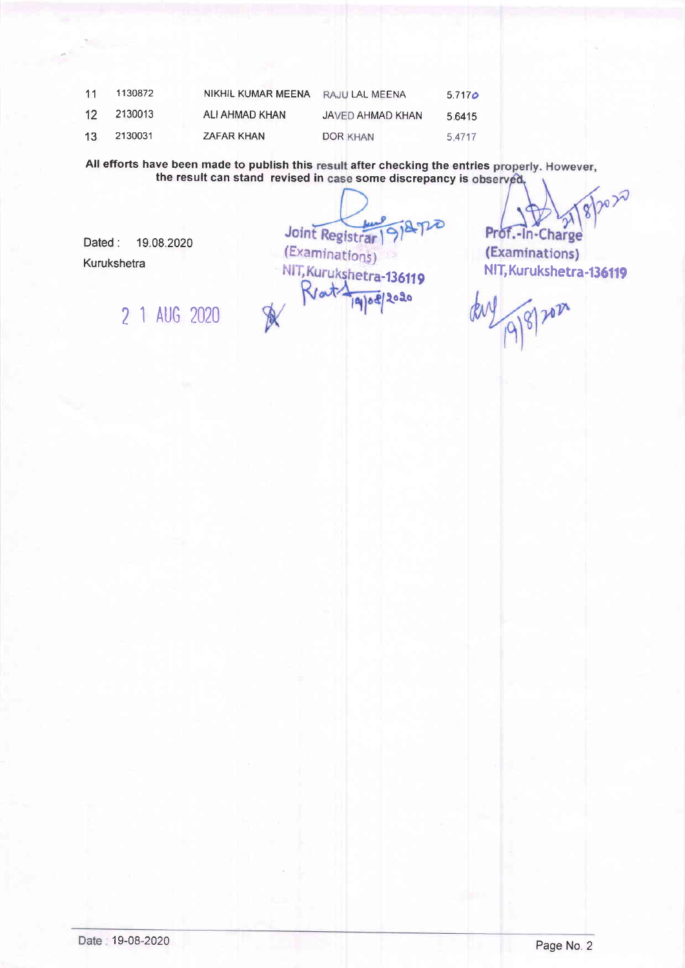| 11              | 1130872 | NIKHIL KUMAR MEENA RAJU LAL MEENA |                  | 5.717 <sub>o</sub> |
|-----------------|---------|-----------------------------------|------------------|--------------------|
| 12 <sup>°</sup> | 2130013 | ALI AHMAD KHAN                    | JAVED AHMAD KHAN | 5.6415             |
| 13 <sub>1</sub> | 2130031 | <b>ZAFAR KHAN</b>                 | DOR KHAN         | 5.4717             |

All efforts have been made to publish this result after checking the entries properly. However, the result can stand revised in case some discrepancy is observed,

Dated : 19.08.2020

2 1 AUG 2020

Kurukshetra

Joint Registrar (Examinations) (Examinations)<br>NIT, Kurukshetra-136119 MIT, Kurukshetra-136119 Rratz loio  $30101$ X

wx Prof.-In-Charge

(Examinations)

**Vel Sel**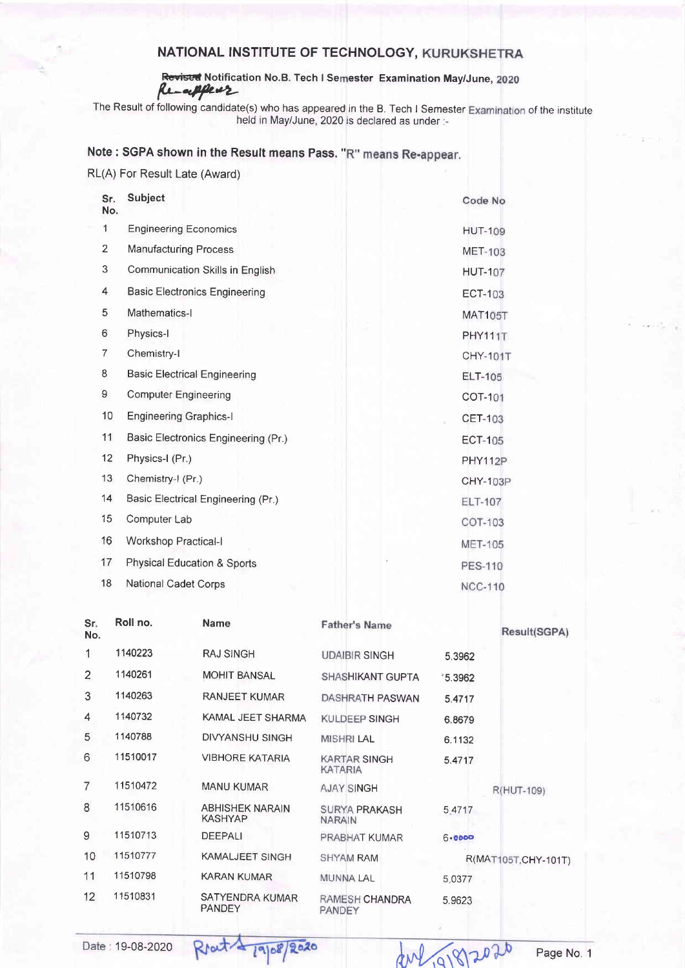# NATIONAL INSTITUTE OF TECHNOLOGY, KURUKSHETRA

## Revised Notification No.B. Tech I Semester Examination May/June, 2020 Renappear

The Result of following candidate(s) who has appeared in the B. Tech I Semester Examination of the institute held in May/June, 2020 is declared as under :-

#### Note: SGPA shown in the Result means Pass. "R" means Re-appear.

| RL(A) For Result Late (Award) |  |  |  |  |
|-------------------------------|--|--|--|--|
|-------------------------------|--|--|--|--|

| Sr.<br>No.     | <b>Subject</b>                         | Code No         |
|----------------|----------------------------------------|-----------------|
| 1              | <b>Engineering Economics</b>           | <b>HUT-109</b>  |
| $\overline{2}$ | <b>Manufacturing Process</b>           | <b>MET-103</b>  |
| 3              | Communication Skills in English        | <b>HUT-107</b>  |
| 4              | <b>Basic Electronics Engineering</b>   | <b>ECT-103</b>  |
| 5              | Mathematics-I                          | <b>MAT105T</b>  |
| 6              | Physics-I                              | PHY111T         |
| $\overline{7}$ | Chemistry-I                            | <b>CHY-101T</b> |
| 8              | <b>Basic Electrical Engineering</b>    | <b>ELT-105</b>  |
| 9              | <b>Computer Engineering</b>            | <b>COT-101</b>  |
| 10             | <b>Engineering Graphics-I</b>          | <b>CET-103</b>  |
| 11             | Basic Electronics Engineering (Pr.)    | <b>ECT-105</b>  |
| 12             | Physics-I (Pr.)                        | PHY112P         |
| 13             | Chemistry-I (Pr.)                      | <b>CHY-103P</b> |
| 14             | Basic Electrical Engineering (Pr.)     | <b>ELT-107</b>  |
| 15             | Computer Lab                           | COT-103         |
| 16             | <b>Workshop Practical-I</b>            | <b>MET-105</b>  |
| 17             | <b>Physical Education &amp; Sports</b> | <b>PES-110</b>  |
| 18             | <b>National Cadet Corps</b>            | <b>NCC-110</b>  |
|                |                                        |                 |

| Sr.<br>No.      | Roll no. | <b>Name</b>                       | <b>Father's Name</b>                  |          | Result(SGPA)         |
|-----------------|----------|-----------------------------------|---------------------------------------|----------|----------------------|
| 1               | 1140223  | <b>RAJ SINGH</b>                  | <b>UDAIBIR SINGH</b>                  | 5.3962   |                      |
| $\overline{2}$  | 1140261  | <b>MOHIT BANSAL</b>               | SHASHIKANT GUPTA                      | \$5.3962 |                      |
| 3               | 1140263  | <b>RANJEET KUMAR</b>              | DASHRATH PASWAN                       | 5.4717   |                      |
| 4               | 1140732  | KAMAL JEET SHARMA                 | KULDEEP SINGH                         | 6.8679   |                      |
| 5               | 1140788  | <b>DIVYANSHU SINGH</b>            | <b>MISHRI LAL</b>                     | 6.1132   |                      |
| 6               | 11510017 | <b>VIBHORE KATARIA</b>            | <b>KARTAR SINGH</b><br><b>KATARIA</b> | 5.4717   |                      |
| $\overline{7}$  | 11510472 | <b>MANU KUMAR</b>                 | <b>AJAY SINGH</b>                     |          | R(HUT-109)           |
| 8               | 11510616 | <b>ABHISHEK NARAIN</b><br>KASHYAP | <b>SURYA PRAKASH</b><br><b>NARAIN</b> | 5.4717   |                      |
| 9               | 11510713 | <b>DEEPALI</b>                    | PRABHAT KUMAR                         | 6.0000   |                      |
| 10              | 11510777 | <b>KAMALJEET SINGH</b>            | <b>SHYAM RAM</b>                      |          | R(MAT105T, CHY-101T) |
| 11              | 11510798 | <b>KARAN KUMAR</b>                | <b>MUNNA LAL</b>                      | 5.0377   |                      |
| 12 <sup>2</sup> | 11510831 | SATYENDRA KUMAR<br><b>PANDEY</b>  | RAMESH CHANDRA<br>PANDEY              | 5.9623   |                      |

Rout 19/08/2020

Date: 19-08-2020

Page No. 1

dul 91812020